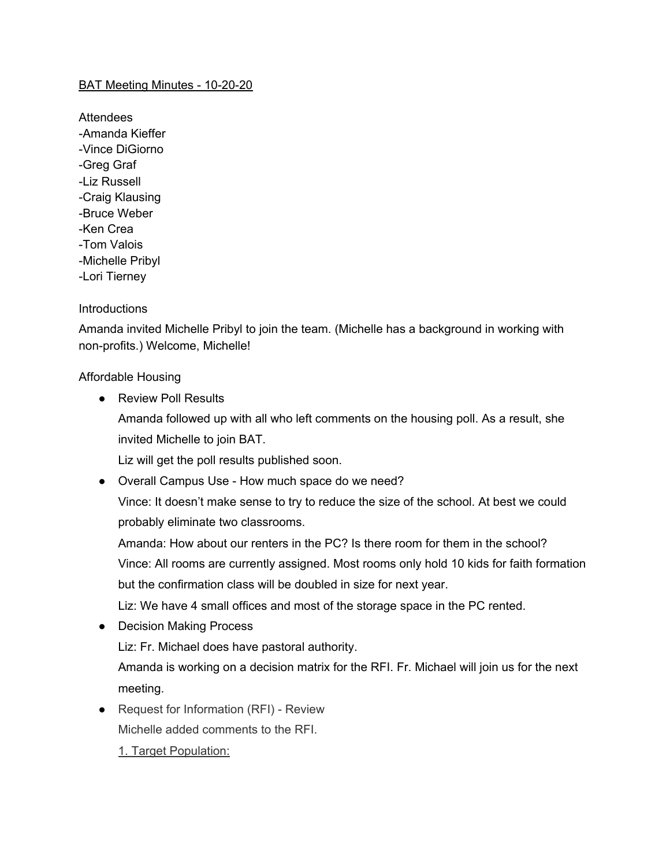## BAT Meeting Minutes - 10-20-20

**Attendees** -Amanda Kieffer -Vince DiGiorno -Greg Graf -Liz Russell -Craig Klausing -Bruce Weber -Ken Crea -Tom Valois -Michelle Pribyl -Lori Tierney

## **Introductions**

Amanda invited Michelle Pribyl to join the team. (Michelle has a background in working with non-profits.) Welcome, Michelle!

Affordable Housing

● Review Poll Results

Amanda followed up with all who left comments on the housing poll. As a result, she invited Michelle to join BAT.

Liz will get the poll results published soon.

● Overall Campus Use - How much space do we need?

Vince: It doesn't make sense to try to reduce the size of the school. At best we could probably eliminate two classrooms.

Amanda: How about our renters in the PC? Is there room for them in the school? Vince: All rooms are currently assigned. Most rooms only hold 10 kids for faith formation but the confirmation class will be doubled in size for next year.

Liz: We have 4 small offices and most of the storage space in the PC rented.

• Decision Making Process

Liz: Fr. Michael does have pastoral authority.

Amanda is working on a decision matrix for the RFI. Fr. Michael will join us for the next meeting.

● Request for Information (RFI) - Review

Michelle added comments to the RFI.

1. Target Population: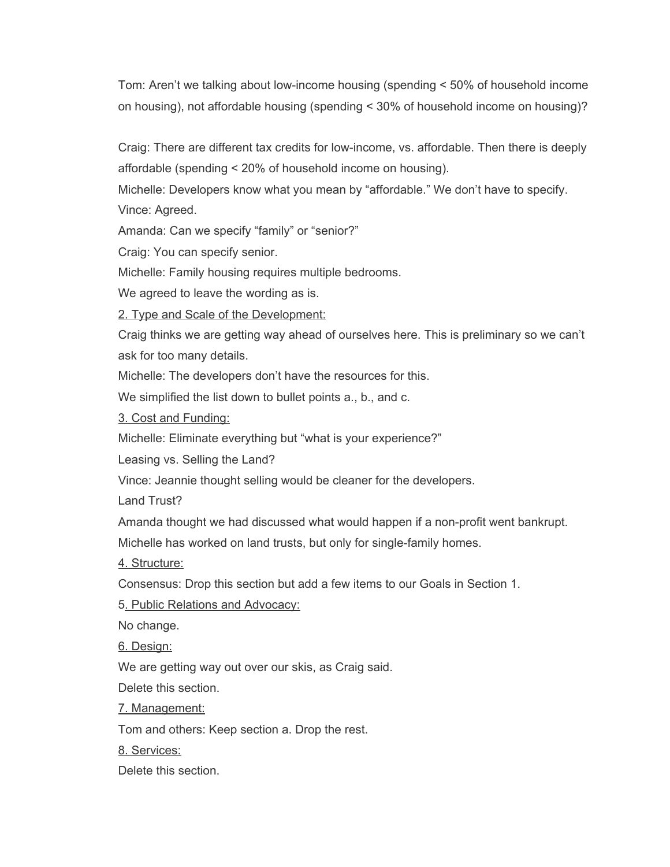Tom: Aren't we talking about low-income housing (spending < 50% of household income on housing), not affordable housing (spending < 30% of household income on housing)?

Craig: There are different tax credits for low-income, vs. affordable. Then there is deeply affordable (spending < 20% of household income on housing).

Michelle: Developers know what you mean by "affordable." We don't have to specify. Vince: Agreed.

Amanda: Can we specify "family" or "senior?"

Craig: You can specify senior.

Michelle: Family housing requires multiple bedrooms.

We agreed to leave the wording as is.

2. Type and Scale of the Development:

Craig thinks we are getting way ahead of ourselves here. This is preliminary so we can't ask for too many details.

Michelle: The developers don't have the resources for this.

We simplified the list down to bullet points a., b., and c.

3. Cost and Funding:

Michelle: Eliminate everything but "what is your experience?"

Leasing vs. Selling the Land?

Vince: Jeannie thought selling would be cleaner for the developers.

Land Trust?

Amanda thought we had discussed what would happen if a non-profit went bankrupt.

Michelle has worked on land trusts, but only for single-family homes.

4. Structure:

Consensus: Drop this section but add a few items to our Goals in Section 1.

5. Public Relations and Advocacy:

No change.

6. Design:

We are getting way out over our skis, as Craig said.

Delete this section.

7. Management:

Tom and others: Keep section a. Drop the rest.

8. Services:

Delete this section.